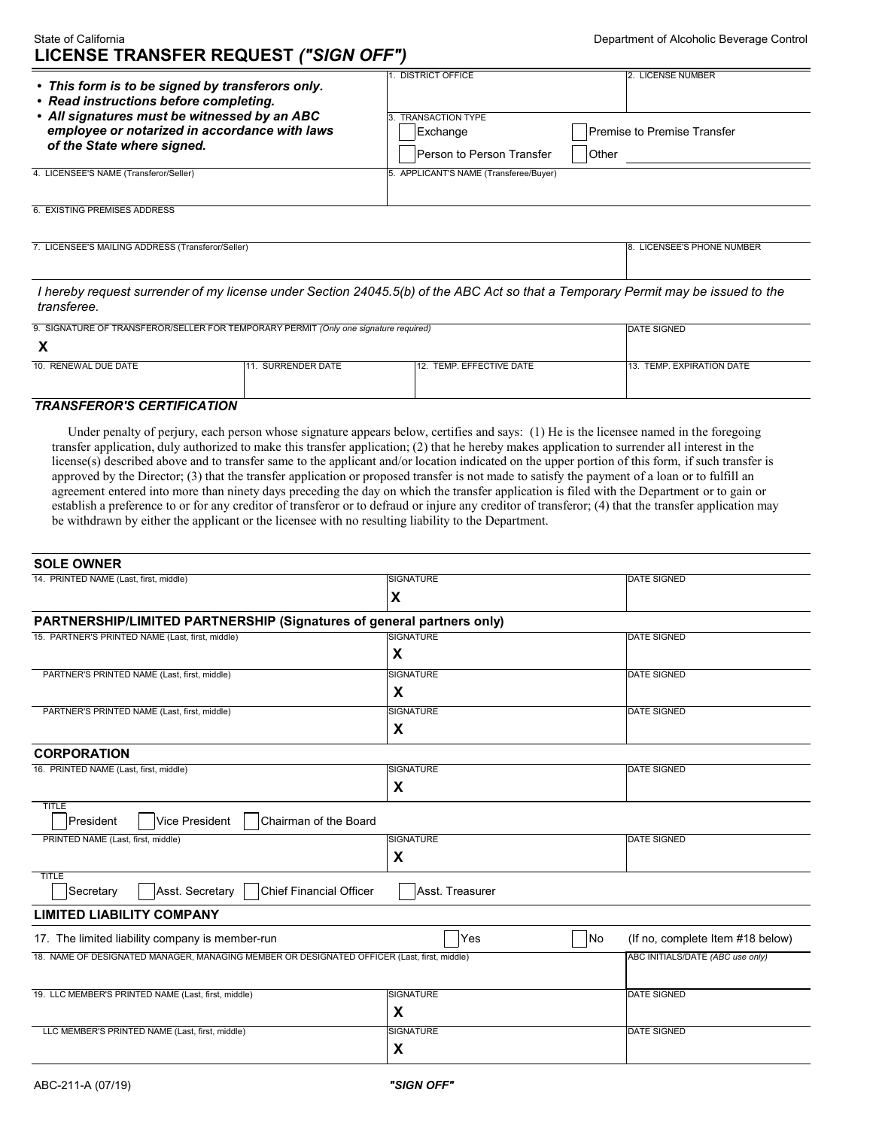## State of California **LICENSE TRANSFER REQUEST** *("SIGN OFF")*

| • This form is to be signed by transferors only.<br>• Read instructions before completing.<br>• All signatures must be witnessed by an ABC<br>employee or notarized in accordance with laws<br>of the State where signed. | <b>DISTRICT OFFICE</b>                                           | 12. LICENSE NUMBER                          |
|---------------------------------------------------------------------------------------------------------------------------------------------------------------------------------------------------------------------------|------------------------------------------------------------------|---------------------------------------------|
|                                                                                                                                                                                                                           | <b>TRANSACTION TYPE</b><br>Exchange<br>Person to Person Transfer | <b>Premise to Premise Transfer</b><br>Other |
| 4. LICENSEE'S NAME (Transferor/Seller)                                                                                                                                                                                    | 5. APPLICANT'S NAME (Transferee/Buyer)                           |                                             |
| 6. EXISTING PREMISES ADDRESS                                                                                                                                                                                              |                                                                  |                                             |

7. LICENSEE'S MAILING ADDRESS (Transferor/Seller) 8. LICENSEE'S PHONE NUMBER

 *I hereby request surrender of my license under Section 24045.5(b) of the ABC Act so that a Temporary Permit may be issued to the transferee.* 

| 9. SIGNATURE OF TRANSFEROR/SELLER FOR TEMPORARY PERMIT (Only one signature required) |                  | <b>IDATE SIGNED</b>      |                           |  |
|--------------------------------------------------------------------------------------|------------------|--------------------------|---------------------------|--|
|                                                                                      |                  |                          |                           |  |
| 10. RENEWAL DUE DATE                                                                 | . SURRENDER DATE | 12. TEMP. EFFECTIVE DATE | 13. TEMP. EXPIRATION DATE |  |
|                                                                                      |                  |                          |                           |  |

## *TRANSFEROR'S CERTIFICATION*

**SOLE OWNER** 

 Under penalty of perjury, each person whose signature appears below, certifies and says: (1) He is the licensee named in the foregoing transfer application, duly authorized to make this transfer application; (2) that he hereby makes application to surrender all interest in the license(s) described above and to transfer same to the applicant and/or location indicated on the upper portion of this form, if such transfer is approved by the Director; (3) that the transfer application or proposed transfer is not made to satisfy the payment of a loan or to fulfill an agreement entered into more than ninety days preceding the day on which the transfer application is filed with the Department or to gain or establish a preference to or for any creditor of transferor or to defraud or injure any creditor of transferor; (4) that the transfer application may be withdrawn by either the applicant or the licensee with no resulting liability to the Department.

| <b>SULE UWNER</b>                                                                           |                  |                                  |
|---------------------------------------------------------------------------------------------|------------------|----------------------------------|
| 14. PRINTED NAME (Last, first, middle)                                                      | <b>SIGNATURE</b> | <b>DATE SIGNED</b>               |
|                                                                                             | X                |                                  |
| PARTNERSHIP/LIMITED PARTNERSHIP (Signatures of general partners only)                       |                  |                                  |
| 15. PARTNER'S PRINTED NAME (Last, first, middle)                                            | <b>SIGNATURE</b> | <b>DATE SIGNED</b>               |
|                                                                                             | X                |                                  |
| PARTNER'S PRINTED NAME (Last, first, middle)                                                | <b>SIGNATURE</b> | <b>DATE SIGNED</b>               |
|                                                                                             | X                |                                  |
| PARTNER'S PRINTED NAME (Last, first, middle)                                                | <b>SIGNATURE</b> | <b>DATE SIGNED</b>               |
|                                                                                             | X                |                                  |
| <b>CORPORATION</b>                                                                          |                  |                                  |
| 16. PRINTED NAME (Last, first, middle)                                                      | <b>SIGNATURE</b> | <b>DATE SIGNED</b>               |
|                                                                                             | X                |                                  |
| <b>TITLE</b><br>President<br>Vice President<br>Chairman of the Board                        |                  |                                  |
| PRINTED NAME (Last, first, middle)                                                          | <b>SIGNATURE</b> | <b>DATE SIGNED</b>               |
|                                                                                             | X                |                                  |
| <b>TITLE</b><br><b>Chief Financial Officer</b><br>Secretary<br>Asst. Secretary              | Asst. Treasurer  |                                  |
| <b>LIMITED LIABILITY COMPANY</b>                                                            |                  |                                  |
| 17. The limited liability company is member-run                                             | Yes<br>No        | (If no, complete Item #18 below) |
| 18. NAME OF DESIGNATED MANAGER, MANAGING MEMBER OR DESIGNATED OFFICER (Last, first, middle) |                  | ABC INITIALS/DATE (ABC use only) |
|                                                                                             |                  |                                  |
| 19. LLC MEMBER'S PRINTED NAME (Last, first, middle)                                         | <b>SIGNATURE</b> | <b>DATE SIGNED</b>               |
|                                                                                             | X                |                                  |
| LLC MEMBER'S PRINTED NAME (Last, first, middle)                                             | <b>SIGNATURE</b> | <b>DATE SIGNED</b>               |
|                                                                                             | X                |                                  |